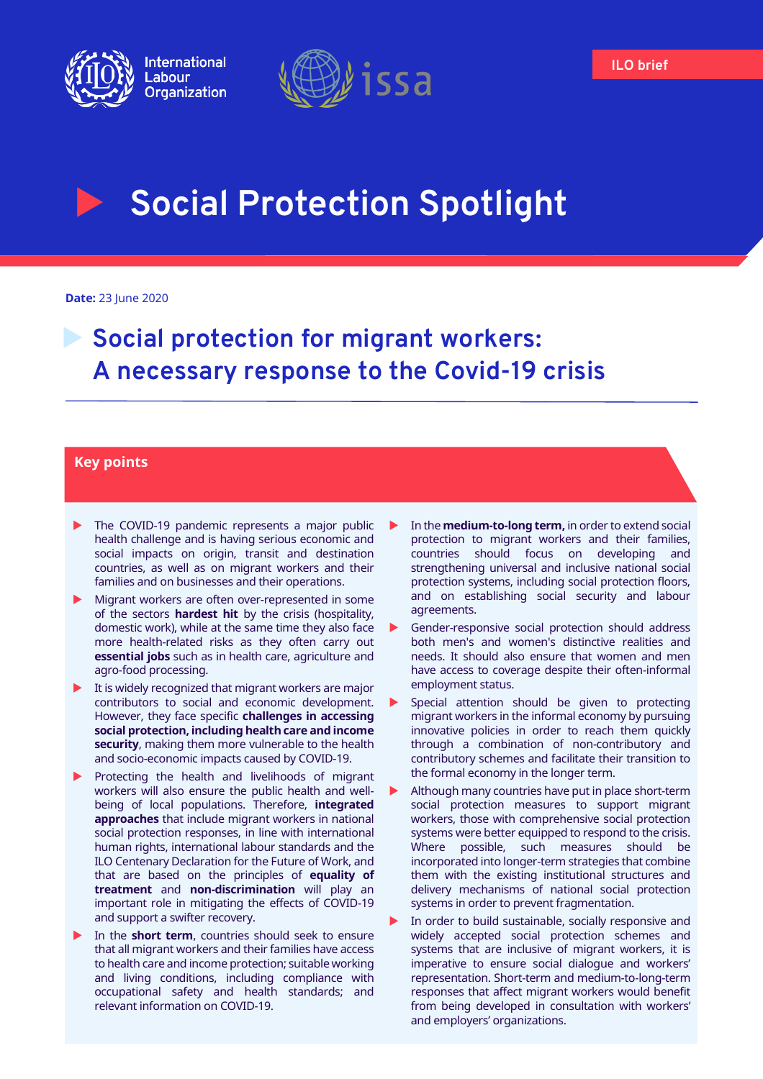



# **Social Protection Spotlight**

**Date:** 23 June 2020

# **Social protection for migrant workers: A necessary response to the Covid-19 crisis**

# **Key points**

- The COVID-19 pandemic represents a major public health challenge and is having serious economic and social impacts on origin, transit and destination countries, as well as on migrant workers and their families and on businesses and their operations.
- Migrant workers are often over-represented in some of the sectors **hardest hit** by the crisis (hospitality, domestic work), while at the same time they also face more health-related risks as they often carry out **essential jobs** such as in health care, agriculture and agro-food processing.
- $\blacktriangleright$  It is widely recognized that migrant workers are major contributors to social and economic development. However, they face specific **challenges in accessing social protection, including health care and income security**, making them more vulnerable to the health and socio-economic impacts caused by COVID-19.
- Protecting the health and livelihoods of migrant workers will also ensure the public health and wellbeing of local populations. Therefore, **integrated approaches** that include migrant workers in national social protection responses, in line with international human rights, international labour standards and the ILO Centenary Declaration for the Future of Work, and that are based on the principles of **equality of treatment** and **non-discrimination** will play an important role in mitigating the effects of COVID-19 and support a swifter recovery.
- In the **short term**, countries should seek to ensure that all migrant workers and their families have access to health care and income protection; suitable working and living conditions, including compliance with occupational safety and health standards; and relevant information on COVID-19.
- In the **medium-to-long term,** in order to extend social protection to migrant workers and their families, countries should focus on developing and strengthening universal and inclusive national social protection systems, including social protection floors, and on establishing social security and labour agreements.
- Gender-responsive social protection should address both men's and women's distinctive realities and needs. It should also ensure that women and men have access to coverage despite their often-informal employment status.
- Special attention should be given to protecting migrant workers in the informal economy by pursuing innovative policies in order to reach them quickly through a combination of non-contributory and contributory schemes and facilitate their transition to the formal economy in the longer term.
- Although many countries have put in place short-term social protection measures to support migrant workers, those with comprehensive social protection systems were better equipped to respond to the crisis. Where possible, such measures should be incorporated into longer-term strategies that combine them with the existing institutional structures and delivery mechanisms of national social protection systems in order to prevent fragmentation.
- In order to build sustainable, socially responsive and widely accepted social protection schemes and systems that are inclusive of migrant workers, it is imperative to ensure social dialogue and workers' representation. Short-term and medium-to-long-term responses that affect migrant workers would benefit from being developed in consultation with workers' and employers' organizations.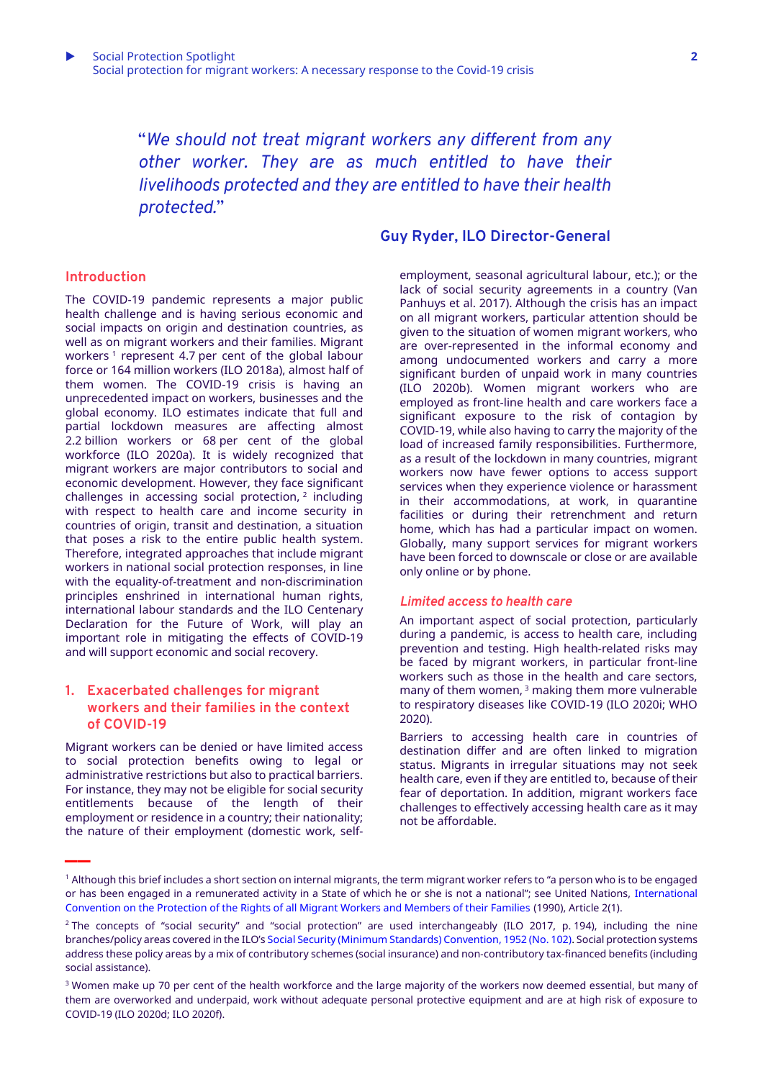"*We should not treat migrant workers any different from any other worker. They are as much entitled to have their livelihoods protected and they are entitled to have their health protected.*"

# **Guy Ryder, ILO Director-General**

#### employment, seasonal agricultural labour, etc.); or the lack of social security agreements in a country (Van Panhuys et al. 2017). Although the crisis has an impact on all migrant workers, particular attention should be given to the situation of women migrant workers, who are over-represented in the informal economy and among undocumented workers and carry a more significant burden of unpaid work in many countries (ILO 2020b). Women migrant workers who are employed as front-line health and care workers face a significant exposure to the risk of contagion by COVID-19, while also having to carry the majority of the load of increased family responsibilities. Furthermore, as a result of the lockdown in many countries, migrant workers now have fewer options to access support services when they experience violence or harassment in their accommodations, at work, in quarantine facilities or during their retrenchment and return home, which has had a particular impact on women. Globally, many support services for migrant workers have been forced to downscale or close or are available only online or by phone.

#### *Limited access to health care*

An important aspect of social protection, particularly during a pandemic, is access to health care, including prevention and testing. High health-related risks may be faced by migrant workers, in particular front-line workers such as those in the health and care sectors, many of them women,<sup>3</sup> making them more vulnerable to respiratory diseases like COVID-19 (ILO 2020i; WHO 2020).

Barriers to accessing health care in countries of destination differ and are often linked to migration status. Migrants in irregular situations may not seek health care, even if they are entitled to, because of their fear of deportation. In addition, migrant workers face challenges to effectively accessing health care as it may not be affordable.

#### **Introduction**

The COVID-19 pandemic represents a major public health challenge and is having serious economic and social impacts on origin and destination countries, as well as on migrant workers and their families. Migrant workers <sup>1</sup> represent 4.7 per cent of the global labour force or 164 million workers (ILO 2018a), almost half of them women. The COVID-19 crisis is having an unprecedented impact on workers, businesses and the global economy. ILO estimates indicate that full and partial lockdown measures are affecting almost 2.2 billion workers or 68 per cent of the global workforce (ILO 2020a). It is widely recognized that migrant workers are major contributors to social and economic development. However, they face significant challenges in accessing social protection, 2 including with respect to health care and income security in countries of origin, transit and destination, a situation that poses a risk to the entire public health system. Therefore, integrated approaches that include migrant workers in national social protection responses, in line with the equality-of-treatment and non-discrimination principles enshrined in international human rights, international labour standards and the ILO Centenary Declaration for the Future of Work, will play an important role in mitigating the effects of COVID-19 and will support economic and social recovery.

# **1. Exacerbated challenges for migrant workers and their families in the context of COVID-19**

Migrant workers can be denied or have limited access to social protection benefits owing to legal or administrative restrictions but also to practical barriers. For instance, they may not be eligible for social security entitlements because of the length of their employment or residence in a country; their nationality; the nature of their employment (domestic work, self- **\_\_**

<sup>1</sup> Although this brief includes a short section on internal migrants, the term migrant worker refers to "a person who is to be engaged or has been engaged in a remunerated activity in a State of which he or she is not a national"; see United Nations, International [Convention on the Protection of the Rights of all Migrant Workers and Members of their Families](https://www.ohchr.org/EN/ProfessionalInterest/Pages/CMW.aspx) (1990), Article 2(1).

<sup>&</sup>lt;sup>2</sup> The concepts of "social security" and "social protection" are used interchangeably (ILO 2017, p. 194), including the nine branches/policy areas covered in the ILO's [Social Security \(Minimum Standards\) Convention, 1952 \(No. 102\).](https://www.ilo.org/dyn/normlex/en/f?p=NORMLEXPUB:12100:0::NO:12100:P12100_INSTRUMENT_ID:312247:NO) Social protection systems address these policy areas by a mix of contributory schemes (social insurance) and non‑contributory tax-financed benefits (including social assistance).

<sup>&</sup>lt;sup>3</sup> Women make up 70 per cent of the health workforce and the large majority of the workers now deemed essential, but many of them are overworked and underpaid, work without adequate personal protective equipment and are at high risk of exposure to COVID-19 (ILO 2020d; ILO 2020f).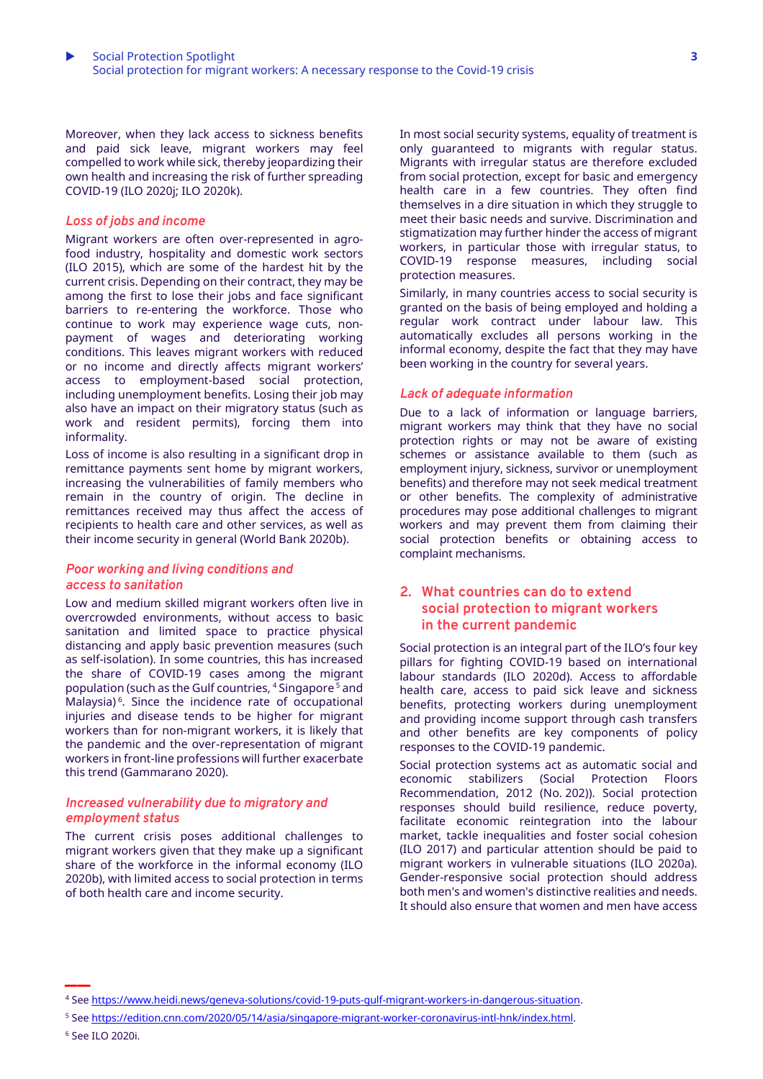Moreover, when they lack access to sickness benefits and paid sick leave, migrant workers may feel compelled to work while sick, thereby jeopardizing their own health and increasing the risk of further spreading COVID-19 (ILO 2020j; ILO 2020k).

#### *Loss of jobs and income*

Migrant workers are often over-represented in agrofood industry, hospitality and domestic work sectors (ILO 2015), which are some of the hardest hit by the current crisis. Depending on their contract, they may be among the first to lose their jobs and face significant barriers to re-entering the workforce. Those who continue to work may experience wage cuts, nonpayment of wages and deteriorating working conditions. This leaves migrant workers with reduced or no income and directly affects migrant workers' access to employment-based social protection, including unemployment benefits. Losing their job may also have an impact on their migratory status (such as work and resident permits), forcing them into informality.

Loss of income is also resulting in a significant drop in remittance payments sent home by migrant workers, increasing the vulnerabilities of family members who remain in the country of origin. The decline in remittances received may thus affect the access of recipients to health care and other services, as well as their income security in general (World Bank 2020b).

#### *Poor working and living conditions and access to sanitation*

Low and medium skilled migrant workers often live in overcrowded environments, without access to basic sanitation and limited space to practice physical distancing and apply basic prevention measures (such as self-isolation). In some countries, this has increased the share of COVID-19 cases among the migrant population (such as the Gulf countries, <sup>4</sup> Singapore <sup>5</sup> and Malaysia) <sup>6</sup> . Since the incidence rate of occupational injuries and disease tends to be higher for migrant workers than for non-migrant workers, it is likely that the pandemic and the over-representation of migrant workers in front-line professions will further exacerbate this trend (Gammarano 2020).

#### *Increased vulnerability due to migratory and employment status*

The current crisis poses additional challenges to migrant workers given that they make up a significant share of the workforce in the informal economy (ILO 2020b), with limited access to social protection in terms of both health care and income security.

In most social security systems, equality of treatment is only guaranteed to migrants with regular status. Migrants with irregular status are therefore excluded from social protection, except for basic and emergency health care in a few countries. They often find themselves in a dire situation in which they struggle to meet their basic needs and survive. Discrimination and stigmatization may further hinder the access of migrant workers, in particular those with irregular status, to COVID-19 response measures, including social protection measures.

Similarly, in many countries access to social security is granted on the basis of being employed and holding a regular work contract under labour law. This automatically excludes all persons working in the informal economy, despite the fact that they may have been working in the country for several years.

#### *Lack of adequate information*

Due to a lack of information or language barriers, migrant workers may think that they have no social protection rights or may not be aware of existing schemes or assistance available to them (such as employment injury, sickness, survivor or unemployment benefits) and therefore may not seek medical treatment or other benefits. The complexity of administrative procedures may pose additional challenges to migrant workers and may prevent them from claiming their social protection benefits or obtaining access to complaint mechanisms.

# **2. What countries can do to extend social protection to migrant workers in the current pandemic**

Social protection is an integral part of the ILO's four key pillars for fighting COVID-19 based on international labour standards (ILO 2020d). Access to affordable health care, access to paid sick leave and sickness benefits, protecting workers during unemployment and providing income support through cash transfers and other benefits are key components of policy responses to the COVID-19 pandemic.

Social protection systems act as automatic social and economic stabilizers (Social Protection Floors Recommendation, 2012 (No. 202)). Social protection responses should build resilience, reduce poverty, facilitate economic reintegration into the labour market, tackle inequalities and foster social cohesion (ILO 2017) and particular attention should be paid to migrant workers in vulnerable situations (ILO 2020a). Gender-responsive social protection should address both men's and women's distinctive realities and needs. It should also ensure that women and men have access

<sup>4</sup> See [https://www.heidi.news/geneva-solutions/covid-19-puts-gulf-migrant-workers-in-dangerous-situation.](https://www.heidi.news/geneva-solutions/covid-19-puts-gulf-migrant-workers-in-dangerous-situation)

<sup>5</sup> See [https://edition.cnn.com/2020/05/14/asia/singapore-migrant-worker-coronavirus-intl-hnk/index.html.](https://edition.cnn.com/2020/05/14/asia/singapore-migrant-worker-coronavirus-intl-hnk/index.html)

<sup>6</sup> See ILO 2020i.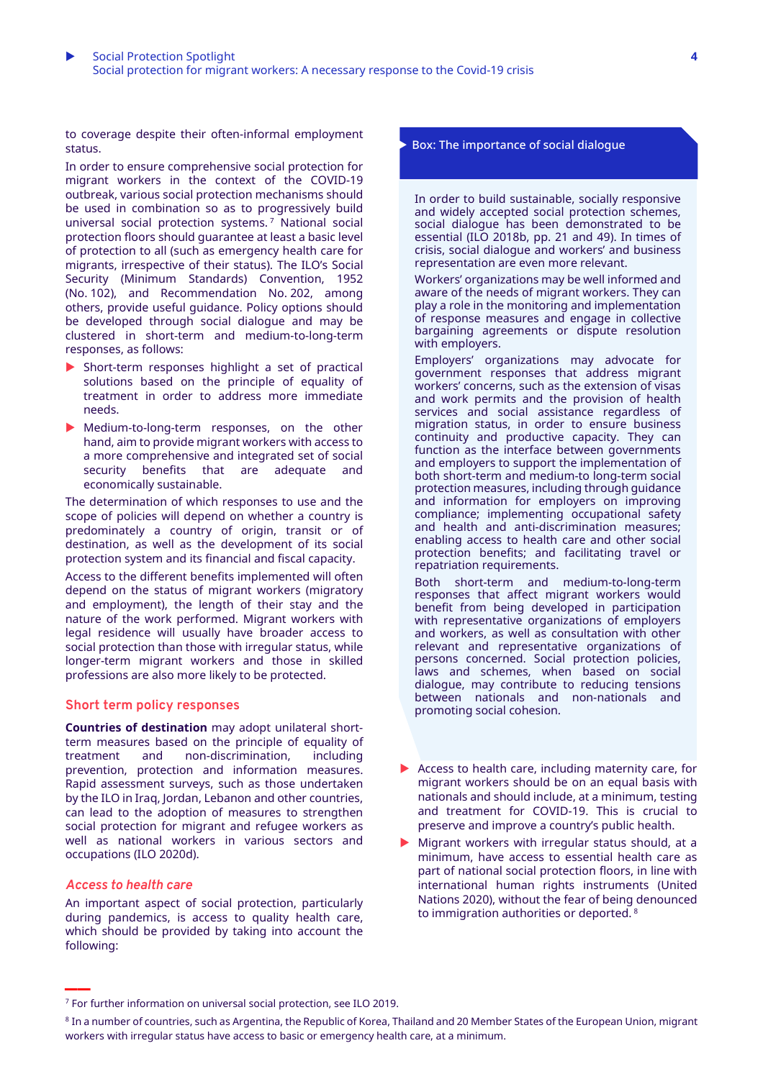to coverage despite their often-informal employment status.

In order to ensure comprehensive social protection for migrant workers in the context of the COVID-19 outbreak, various social protection mechanisms should be used in combination so as to progressively build universal social protection systems. <sup>7</sup> National social protection floors should guarantee at least a basic level of protection to all (such as emergency health care for migrants, irrespective of their status). The ILO's Social Security (Minimum Standards) Convention, 1952 (No. 102), and Recommendation No. 202, among others, provide useful guidance. Policy options should be developed through social dialogue and may be clustered in short-term and medium-to-long-term responses, as follows:

- Short-term responses highlight a set of practical solutions based on the principle of equality of treatment in order to address more immediate needs.
- Medium-to-long-term responses, on the other hand, aim to provide migrant workers with access to a more comprehensive and integrated set of social security benefits that are adequate and economically sustainable.

The determination of which responses to use and the scope of policies will depend on whether a country is predominately a country of origin, transit or of destination, as well as the development of its social protection system and its financial and fiscal capacity.

Access to the different benefits implemented will often depend on the status of migrant workers (migratory and employment), the length of their stay and the nature of the work performed. Migrant workers with legal residence will usually have broader access to social protection than those with irregular status, while longer-term migrant workers and those in skilled professions are also more likely to be protected.

#### **Short term policy responses**

**Countries of destination** may adopt unilateral shortterm measures based on the principle of equality of treatment and non-discrimination, including treatment and non-discrimination, prevention, protection and information measures. Rapid assessment surveys, such as those undertaken by the ILO in Iraq, Jordan, Lebanon and other countries, can lead to the adoption of measures to strengthen social protection for migrant and refugee workers as well as national workers in various sectors and occupations (ILO 2020d).

#### *Access to health care*

**\_\_**

An important aspect of social protection, particularly during pandemics, is access to quality health care, which should be provided by taking into account the following:

#### Box: The importance of social dialogue

In order to build sustainable, socially responsive and widely accepted social protection schemes, social dialogue has been demonstrated to be essential (ILO 2018b, pp. 21 and 49). In times of crisis, social dialogue and workers' and business representation are even more relevant.

Workers' organizations may be well informed and aware of the needs of migrant workers. They can play a role in the monitoring and implementation of response measures and engage in collective bargaining agreements or dispute resolution with employers.

Employers' organizations may advocate for government responses that address migrant workers' concerns, such as the extension of visas and work permits and the provision of health services and social assistance regardless of migration status, in order to ensure business continuity and productive capacity. They can function as the interface between governments and employers to support the implementation of both short-term and medium-to long-term social protection measures, including through guidance and information for employers on improving compliance; implementing occupational safety and health and anti-discrimination measures; enabling access to health care and other social protection benefits; and facilitating travel or repatriation requirements.

Both short-term and medium-to-long-term responses that affect migrant workers would benefit from being developed in participation with representative organizations of employers and workers, as well as consultation with other relevant and representative organizations of persons concerned. Social protection policies, laws and schemes, when based on social dialogue, may contribute to reducing tensions between nationals and non-nationals and promoting social cohesion.

- ▶ Access to health care, including maternity care, for migrant workers should be on an equal basis with nationals and should include, at a minimum, testing and treatment for COVID-19. This is crucial to preserve and improve a country's public health.
- $\blacktriangleright$  Migrant workers with irregular status should, at a minimum, have access to essential health care as part of national social protection floors, in line with international human rights instruments (United Nations 2020), without the fear of being denounced to immigration authorities or deported. <sup>8</sup>

<sup>7</sup> For further information on universal social protection, see ILO 2019.

 $^8$  In a number of countries, such as Argentina, the Republic of Korea, Thailand and 20 Member States of the European Union, migrant workers with irregular status have access to basic or emergency health care, at a minimum.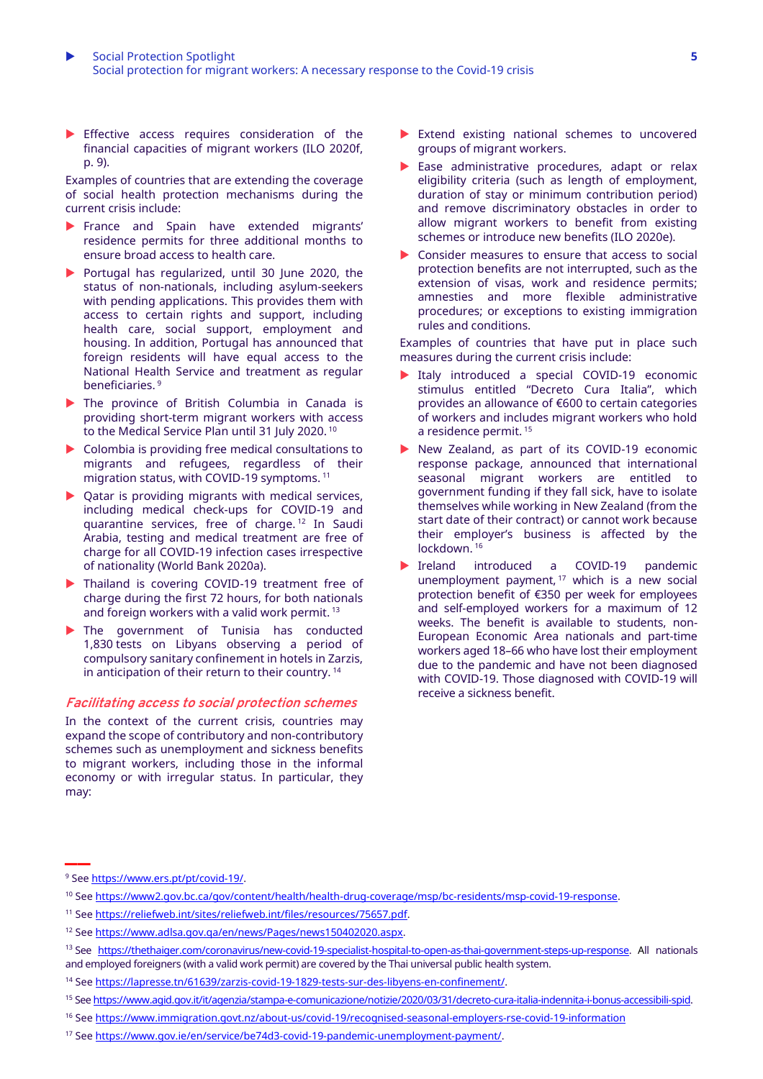Effective access requires consideration of the financial capacities of migrant workers (ILO 2020f, p. 9).

Examples of countries that are extending the coverage of social health protection mechanisms during the current crisis include:

- France and Spain have extended migrants' residence permits for three additional months to ensure broad access to health care.
- Portugal has regularized, until 30 June 2020, the status of non-nationals, including asylum-seekers with pending applications. This provides them with access to certain rights and support, including health care, social support, employment and housing. In addition, Portugal has announced that foreign residents will have equal access to the National Health Service and treatment as regular beneficiaries. 9
- The province of British Columbia in Canada is providing short-term migrant workers with access to the Medical Service Plan until 31 July 2020. <sup>10</sup>
- Colombia is providing free medical consultations to migrants and refugees, regardless of their migration status, with COVID-19 symptoms. 11
- ▶ Qatar is providing migrants with medical services, including medical check-ups for COVID-19 and quarantine services, free of charge. <sup>12</sup> In Saudi Arabia, testing and medical treatment are free of charge for all COVID-19 infection cases irrespective of nationality (World Bank 2020a).
- Thailand is covering COVID-19 treatment free of charge during the first 72 hours, for both nationals and foreign workers with a valid work permit. 13
- The government of Tunisia has conducted 1,830 tests on Libyans observing a period of compulsory sanitary confinement in hotels in Zarzis, in anticipation of their return to their country. <sup>14</sup>

#### **Facilitating access to social protection schemes**

In the context of the current crisis, countries may expand the scope of contributory and non-contributory schemes such as unemployment and sickness benefits to migrant workers, including those in the informal economy or with irregular status. In particular, they may:

- Extend existing national schemes to uncovered groups of migrant workers.
- Ease administrative procedures, adapt or relax eligibility criteria (such as length of employment, duration of stay or minimum contribution period) and remove discriminatory obstacles in order to allow migrant workers to benefit from existing schemes or introduce new benefits (ILO 2020e).
- ▶ Consider measures to ensure that access to social protection benefits are not interrupted, such as the extension of visas, work and residence permits; amnesties and more flexible administrative procedures; or exceptions to existing immigration rules and conditions.

Examples of countries that have put in place such measures during the current crisis include:

- Italy introduced a special COVID-19 economic stimulus entitled "Decreto Cura Italia", which provides an allowance of €600 to certain categories of workers and includes migrant workers who hold a residence permit. <sup>15</sup>
- New Zealand, as part of its COVID-19 economic response package, announced that international seasonal migrant workers are entitled to government funding if they fall sick, have to isolate themselves while working in New Zealand (from the start date of their contract) or cannot work because their employer's business is affected by the lockdown. <sup>16</sup>
- Ireland introduced a COVID-19 pandemic unemployment payment, <sup>17</sup> which is a new social protection benefit of €350 per week for employees and self-employed workers for a maximum of 12 weeks. The benefit is available to students, non-European Economic Area nationals and part-time workers aged 18–66 who have lost their employment due to the pandemic and have not been diagnosed with COVID-19. Those diagnosed with COVID-19 will receive a sickness benefit.

**\_\_**

<sup>16</sup> See <https://www.immigration.govt.nz/about-us/covid-19/recognised-seasonal-employers-rse-covid-19-information>

<sup>9</sup> See [https://www.ers.pt/pt/covid-19/.](https://www.ers.pt/pt/covid-19/)

<sup>10</sup> See [https://www2.gov.bc.ca/gov/content/health/health-drug-coverage/msp/bc-residents/msp-covid-19-response.](https://www2.gov.bc.ca/gov/content/health/health-drug-coverage/msp/bc-residents/msp-covid-19-response)

<sup>&</sup>lt;sup>11</sup> See [https://reliefweb.int/sites/reliefweb.int/files/resources/75657.pdf.](https://reliefweb.int/sites/reliefweb.int/files/resources/75657.pdf)

<sup>12</sup> See [https://www.adlsa.gov.qa/en/news/Pages/news150402020.aspx.](https://www.adlsa.gov.qa/en/news/Pages/news150402020.aspx)

<sup>&</sup>lt;sup>13</sup> See [https://thethaiger.com/coronavirus/new-covid-19-specialist-hospital-to-open-as-thai-government-steps-up-response.](https://thethaiger.com/coronavirus/new-covid-19-specialist-hospital-to-open-as-thai-government-steps-up-response) All nationals and employed foreigners (with a valid work permit) are covered by the Thai universal public health system.

<sup>14</sup> See [https://lapresse.tn/61639/zarzis-covid-19-1829-tests-sur-des-libyens-en-confinement/.](https://lapresse.tn/61639/zarzis-covid-19-1829-tests-sur-des-libyens-en-confinement/)

<sup>15</sup> See [https://www.agid.gov.it/it/agenzia/stampa-e-comunicazione/notizie/2020/03/31/decreto-cura-italia-indennita-i-bonus-accessibili-spid.](https://www.agid.gov.it/it/agenzia/stampa-e-comunicazione/notizie/2020/03/31/decreto-cura-italia-indennita-i-bonus-accessibili-spid)

<sup>17</sup> See [https://www.gov.ie/en/service/be74d3-covid-19-pandemic-unemployment-payment/.](https://www.gov.ie/en/service/be74d3-covid-19-pandemic-unemployment-payment/)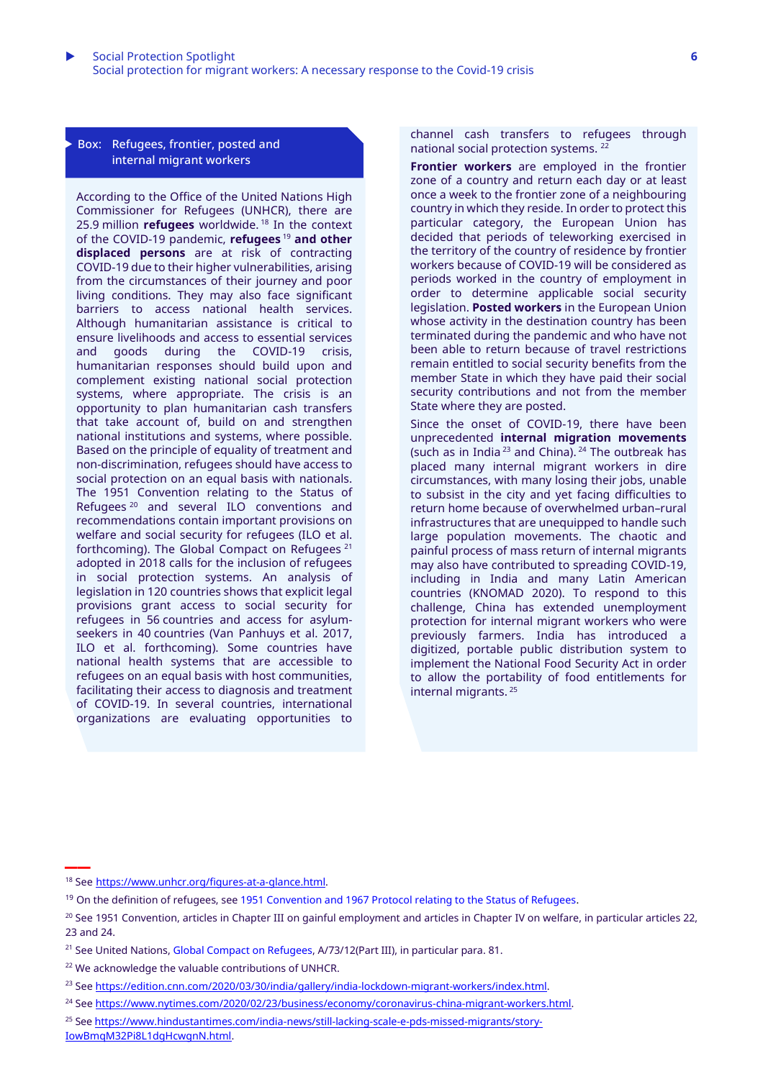Box: Refugees, frontier, posted and internal migrant workers

According to the Office of the United Nations High Commissioner for Refugees (UNHCR), there are 25.9 million **refugees** worldwide. <sup>18</sup> In the context of the COVID-19 pandemic, **refugees** <sup>19</sup> **and other displaced persons** are at risk of contracting COVID-19 due to their higher vulnerabilities, arising from the circumstances of their journey and poor living conditions. They may also face significant barriers to access national health services. Although humanitarian assistance is critical to ensure livelihoods and access to essential services and goods during the COVID-19 crisis, humanitarian responses should build upon and complement existing national social protection systems, where appropriate. The crisis is an opportunity to plan humanitarian cash transfers that take account of, build on and strengthen national institutions and systems, where possible. Based on the principle of equality of treatment and non-discrimination, refugees should have access to social protection on an equal basis with nationals. The 1951 Convention relating to the Status of Refugees <sup>20</sup> and several ILO conventions and recommendations contain important provisions on welfare and social security for refugees (ILO et al. forthcoming). The Global Compact on Refugees <sup>21</sup> adopted in 2018 calls for the inclusion of refugees in social protection systems. An analysis of legislation in 120 countries shows that explicit legal provisions grant access to social security for refugees in 56 countries and access for asylumseekers in 40 countries (Van Panhuys et al. 2017, ILO et al. forthcoming). Some countries have national health systems that are accessible to refugees on an equal basis with host communities, facilitating their access to diagnosis and treatment of COVID-19. In several countries, international organizations are evaluating opportunities to

channel cash transfers to refugees through national social protection systems. <sup>22</sup>

**Frontier workers** are employed in the frontier zone of a country and return each day or at least once a week to the frontier zone of a neighbouring country in which they reside. In order to protect this particular category, the European Union has decided that periods of teleworking exercised in the territory of the country of residence by frontier workers because of COVID-19 will be considered as periods worked in the country of employment in order to determine applicable social security legislation. **Posted workers** in the European Union whose activity in the destination country has been terminated during the pandemic and who have not been able to return because of travel restrictions remain entitled to social security benefits from the member State in which they have paid their social security contributions and not from the member State where they are posted.

Since the onset of COVID-19, there have been unprecedented **internal migration movements** (such as in India<sup>23</sup> and China).<sup>24</sup> The outbreak has placed many internal migrant workers in dire circumstances, with many losing their jobs, unable to subsist in the city and yet facing difficulties to return home because of overwhelmed urban–rural infrastructures that are unequipped to handle such large population movements. The chaotic and painful process of mass return of internal migrants may also have contributed to spreading COVID-19, including in India and many Latin American countries (KNOMAD 2020). To respond to this challenge, China has extended unemployment protection for internal migrant workers who were previously farmers. India has introduced a digitized, portable public distribution system to implement the National Food Security Act in order to allow the portability of food entitlements for internal migrants. 25

[IowBmqM32Pi8L1dgHcwgnN.html.](https://www.hindustantimes.com/india-news/still-lacking-scale-e-pds-missed-migrants/story-IowBmqM32Pi8L1dgHcwgnN.html)

<sup>18</sup> See [https://www.unhcr.org/figures-at-a-glance.html.](https://www.unhcr.org/figures-at-a-glance.html)

<sup>&</sup>lt;sup>19</sup> On the definition of refugees, see [1951 Convention and 1967 Protocol relating to the Status of Refugees.](https://www.unhcr.org/3b66c2aa10.pdf)

<sup>&</sup>lt;sup>20</sup> See 1951 Convention, articles in Chapter III on gainful employment and articles in Chapter IV on welfare, in particular articles 22, 23 and 24.

<sup>&</sup>lt;sup>21</sup> See United Nations, [Global Compact on Refugees,](https://www.unhcr.org/gcr/GCR_English.pdf) A/73/12(Part III), in particular para. 81.

<sup>&</sup>lt;sup>22</sup> We acknowledge the valuable contributions of UNHCR.

<sup>&</sup>lt;sup>23</sup> See [https://edition.cnn.com/2020/03/30/india/gallery/india-lockdown-migrant-workers/index.html.](https://edition.cnn.com/2020/03/30/india/gallery/india-lockdown-migrant-workers/index.html)

<sup>&</sup>lt;sup>24</sup> See [https://www.nytimes.com/2020/02/23/business/economy/coronavirus-china-migrant-workers.html.](https://www.nytimes.com/2020/02/23/business/economy/coronavirus-china-migrant-workers.html)

<sup>25</sup> See [https://www.hindustantimes.com/india-news/still-lacking-scale-e-pds-missed-migrants/story-](https://www.hindustantimes.com/india-news/still-lacking-scale-e-pds-missed-migrants/story-IowBmqM32Pi8L1dgHcwgnN.html)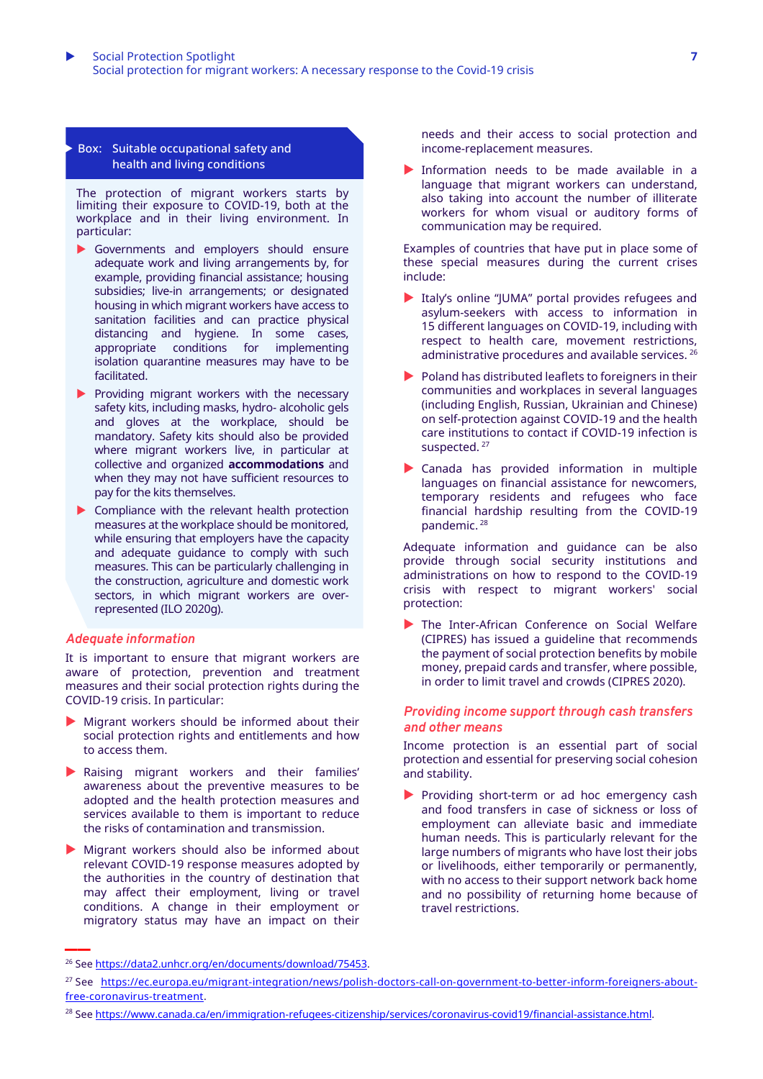#### Box: Suitable occupational safety and health and living conditions

The protection of migrant workers starts by limiting their exposure to COVID-19, both at the workplace and in their living environment. In particular:

- Governments and employers should ensure adequate work and living arrangements by, for example, providing financial assistance; housing subsidies; live-in arrangements; or designated housing in which migrant workers have access to sanitation facilities and can practice physical distancing and hygiene. In some cases, appropriate conditions for implementing isolation quarantine measures may have to be facilitated.
- $\blacktriangleright$  Providing migrant workers with the necessary safety kits, including masks, hydro- alcoholic gels and gloves at the workplace, should be mandatory. Safety kits should also be provided where migrant workers live, in particular at collective and organized **accommodations** and when they may not have sufficient resources to pay for the kits themselves.
- **Compliance with the relevant health protection** measures at the workplace should be monitored, while ensuring that employers have the capacity and adequate guidance to comply with such measures. This can be particularly challenging in the construction, agriculture and domestic work sectors, in which migrant workers are overrepresented (ILO 2020g).

#### *Adequate information*

It is important to ensure that migrant workers are aware of protection, prevention and treatment measures and their social protection rights during the COVID-19 crisis. In particular:

- Migrant workers should be informed about their social protection rights and entitlements and how to access them.
- Raising migrant workers and their families' awareness about the preventive measures to be adopted and the health protection measures and services available to them is important to reduce the risks of contamination and transmission.
- Migrant workers should also be informed about relevant COVID-19 response measures adopted by the authorities in the country of destination that may affect their employment, living or travel conditions. A change in their employment or migratory status may have an impact on their **\_\_**

needs and their access to social protection and income-replacement measures.

Information needs to be made available in a language that migrant workers can understand, also taking into account the number of illiterate workers for whom visual or auditory forms of communication may be required.

Examples of countries that have put in place some of these special measures during the current crises include:

- Italy's online "JUMA" portal provides refugees and asylum-seekers with access to information in 15 different languages on COVID-19, including with respect to health care, movement restrictions, administrative procedures and available services. <sup>26</sup>
- $\blacktriangleright$  Poland has distributed leaflets to foreigners in their communities and workplaces in several languages (including English, Russian, Ukrainian and Chinese) on self-protection against COVID-19 and the health care institutions to contact if COVID-19 infection is suspected.<sup>27</sup>
- Canada has provided information in multiple languages on financial assistance for newcomers, temporary residents and refugees who face financial hardship resulting from the COVID-19 pandemic. <sup>28</sup>

Adequate information and guidance can be also provide through social security institutions and administrations on how to respond to the COVID-19 crisis with respect to migrant workers' social protection:

The Inter-African Conference on Social Welfare (CIPRES) has issued a guideline that recommends the payment of social protection benefits by mobile money, prepaid cards and transfer, where possible, in order to limit travel and crowds (CIPRES 2020).

#### *Providing income support through cash transfers and other means*

Income protection is an essential part of social protection and essential for preserving social cohesion and stability.

Providing short-term or ad hoc emergency cash and food transfers in case of sickness or loss of employment can alleviate basic and immediate human needs. This is particularly relevant for the large numbers of migrants who have lost their jobs or livelihoods, either temporarily or permanently, with no access to their support network back home and no possibility of returning home because of travel restrictions.

<sup>26</sup> See [https://data2.unhcr.org/en/documents/download/75453.](https://data2.unhcr.org/en/documents/download/75453)

<sup>27</sup> See [https://ec.europa.eu/migrant-integration/news/polish-doctors-call-on-government-to-better-inform-foreigners-about](https://ec.europa.eu/migrant-integration/news/polish-doctors-call-on-government-to-better-inform-foreigners-about-free-coronavirus-treatment)[free-coronavirus-treatment.](https://ec.europa.eu/migrant-integration/news/polish-doctors-call-on-government-to-better-inform-foreigners-about-free-coronavirus-treatment)

<sup>&</sup>lt;sup>28</sup> See [https://www.canada.ca/en/immigration-refugees-citizenship/services/coronavirus-covid19/financial-assistance.html.](https://www.canada.ca/en/immigration-refugees-citizenship/services/coronavirus-covid19/financial-assistance.html)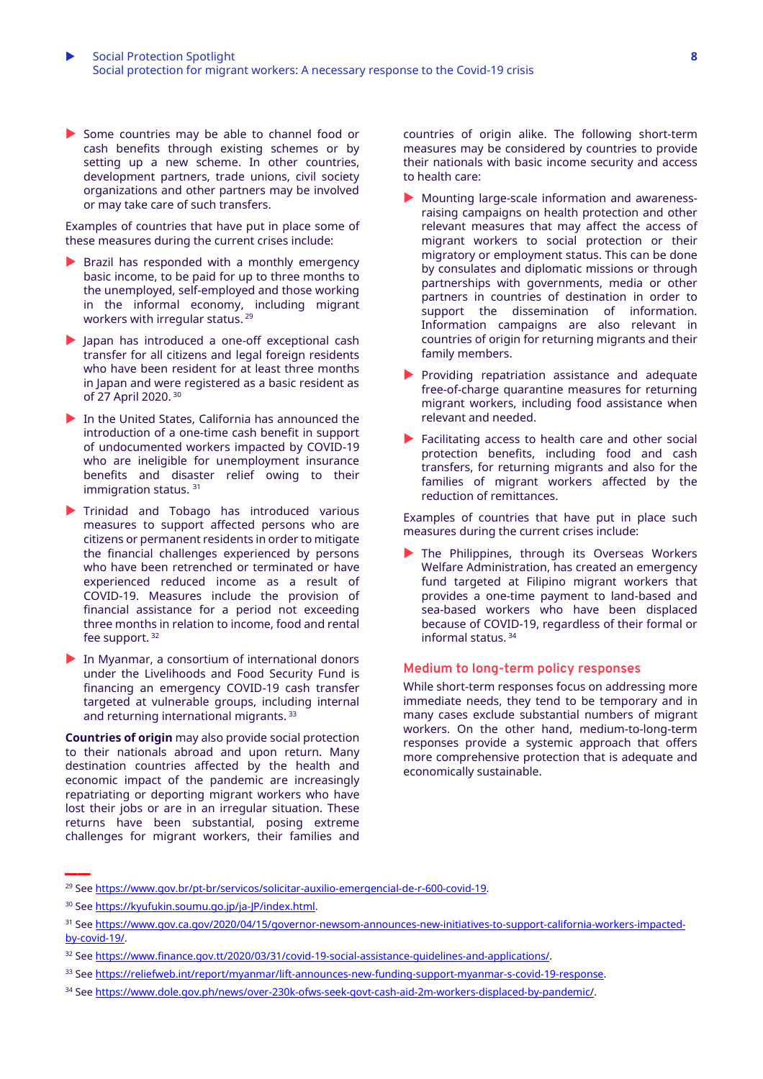Some countries may be able to channel food or cash benefits through existing schemes or by setting up a new scheme. In other countries, development partners, trade unions, civil society organizations and other partners may be involved or may take care of such transfers.

Examples of countries that have put in place some of these measures during the current crises include:

- $\blacktriangleright$  Brazil has responded with a monthly emergency basic income, to be paid for up to three months to the unemployed, self-employed and those working in the informal economy, including migrant workers with irregular status. 29
- Japan has introduced a one-off exceptional cash transfer for all citizens and legal foreign residents who have been resident for at least three months in Japan and were registered as a basic resident as of 27 April 2020. 30
- In the United States, California has announced the introduction of a one-time cash benefit in support of undocumented workers impacted by COVID-19 who are ineligible for unemployment insurance benefits and disaster relief owing to their immigration status. <sup>31</sup>
- Trinidad and Tobago has introduced various measures to support affected persons who are citizens or permanent residents in order to mitigate the financial challenges experienced by persons who have been retrenched or terminated or have experienced reduced income as a result of COVID-19. Measures include the provision of financial assistance for a period not exceeding three months in relation to income, food and rental fee support. <sup>32</sup>
- In Myanmar, a consortium of international donors under the Livelihoods and Food Security Fund is financing an emergency COVID-19 cash transfer targeted at vulnerable groups, including internal and returning international migrants. 33

**Countries of origin** may also provide social protection to their nationals abroad and upon return. Many destination countries affected by the health and economic impact of the pandemic are increasingly repatriating or deporting migrant workers who have lost their jobs or are in an irregular situation. These returns have been substantial, posing extreme challenges for migrant workers, their families and

countries of origin alike. The following short-term measures may be considered by countries to provide their nationals with basic income security and access to health care:

- Mounting large-scale information and awarenessraising campaigns on health protection and other relevant measures that may affect the access of migrant workers to social protection or their migratory or employment status. This can be done by consulates and diplomatic missions or through partnerships with governments, media or other partners in countries of destination in order to support the dissemination of information. Information campaigns are also relevant in countries of origin for returning migrants and their family members.
- Providing repatriation assistance and adequate free-of-charge quarantine measures for returning migrant workers, including food assistance when relevant and needed.
- ▶ Facilitating access to health care and other social protection benefits, including food and cash transfers, for returning migrants and also for the families of migrant workers affected by the reduction of remittances.

Examples of countries that have put in place such measures during the current crises include:

The Philippines, through its Overseas Workers Welfare Administration, has created an emergency fund targeted at Filipino migrant workers that provides a one-time payment to land-based and sea-based workers who have been displaced because of COVID-19, regardless of their formal or informal status. 34

#### **Medium to long-term policy responses**

While short-term responses focus on addressing more immediate needs, they tend to be temporary and in many cases exclude substantial numbers of migrant workers. On the other hand, medium-to-long-term responses provide a systemic approach that offers more comprehensive protection that is adequate and economically sustainable.

<sup>29</sup> See [https://www.gov.br/pt-br/servicos/solicitar-auxilio-emergencial-de-r-600-covid-19.](https://www.gov.br/pt-br/servicos/solicitar-auxilio-emergencial-de-r-600-covid-19)

<sup>30</sup> See [https://kyufukin.soumu.go.jp/ja-JP/index.html.](https://kyufukin.soumu.go.jp/ja-JP/index.html)

<sup>31</sup> See [https://www.gov.ca.gov/2020/04/15/governor-newsom-announces-new-initiatives-to-support-california-workers-impacted](https://www.gov.ca.gov/2020/04/15/governor-newsom-announces-new-initiatives-to-support-california-workers-impacted-by-covid-19/)[by-covid-19/.](https://www.gov.ca.gov/2020/04/15/governor-newsom-announces-new-initiatives-to-support-california-workers-impacted-by-covid-19/)

<sup>&</sup>lt;sup>32</sup> See [https://www.finance.gov.tt/2020/03/31/covid-19-social-assistance-guidelines-and-applications/.](https://www.finance.gov.tt/2020/03/31/covid-19-social-assistance-guidelines-and-applications/)

<sup>33</sup> See [https://reliefweb.int/report/myanmar/lift-announces-new-funding-support-myanmar-s-covid-19-response.](https://reliefweb.int/report/myanmar/lift-announces-new-funding-support-myanmar-s-covid-19-response)

<sup>34</sup> See [https://www.dole.gov.ph/news/over-230k-ofws-seek-govt-cash-aid-2m-workers-displaced-by-pandemic/.](https://www.dole.gov.ph/news/over-230k-ofws-seek-govt-cash-aid-2m-workers-displaced-by-pandemic/)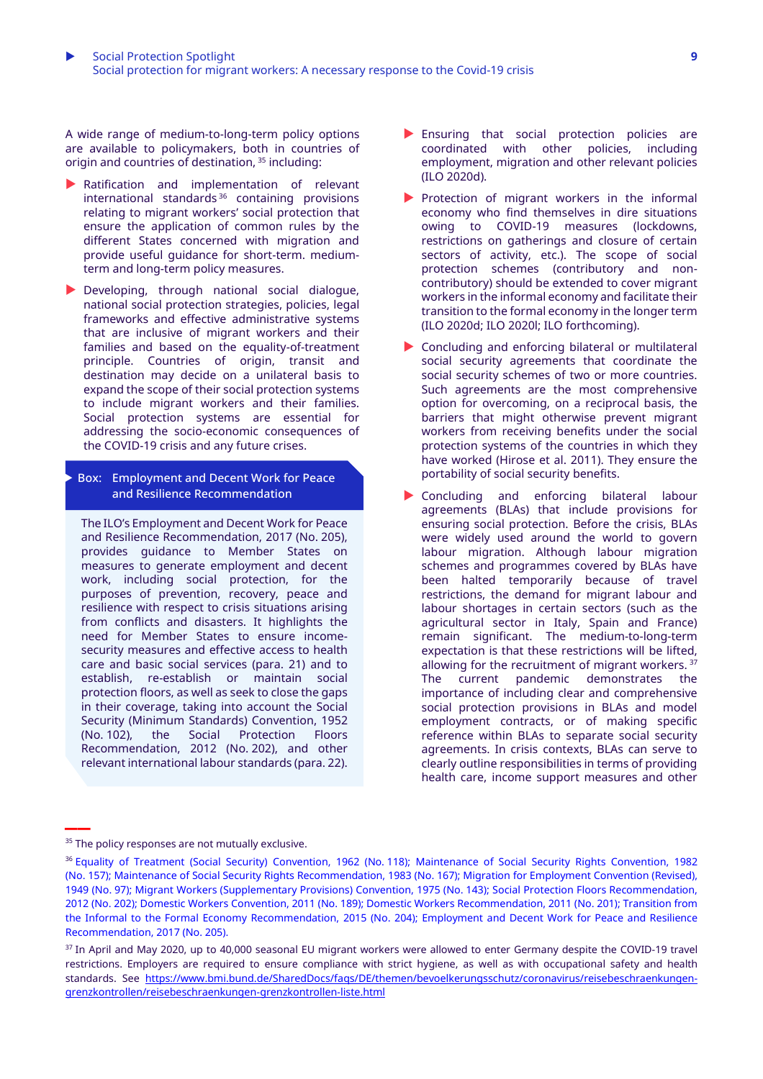A wide range of medium-to-long-term policy options are available to policymakers, both in countries of origin and countries of destination, <sup>35</sup> including:

- Ratification and implementation of relevant international standards <sup>36</sup> containing provisions relating to migrant workers' social protection that ensure the application of common rules by the different States concerned with migration and provide useful guidance for short-term. mediumterm and long-term policy measures.
- Developing, through national social dialogue, national social protection strategies, policies, legal frameworks and effective administrative systems that are inclusive of migrant workers and their families and based on the equality-of-treatment principle. Countries of origin, transit and destination may decide on a unilateral basis to expand the scope of their social protection systems to include migrant workers and their families. Social protection systems are essential for addressing the socio-economic consequences of the COVID-19 crisis and any future crises.

#### Box: Employment and Decent Work for Peace and Resilience Recommendation

The ILO's Employment and Decent Work for Peace and Resilience Recommendation, 2017 (No. 205), provides guidance to Member States on measures to generate employment and decent work, including social protection, for the purposes of prevention, recovery, peace and resilience with respect to crisis situations arising from conflicts and disasters. It highlights the need for Member States to ensure incomesecurity measures and effective access to health care and basic social services (para. 21) and to establish, re-establish or maintain social protection floors, as well as seek to close the gaps in their coverage, taking into account the Social Security (Minimum Standards) Convention, 1952 (No. 102), the Social Protection Floors Recommendation, 2012 (No. 202), and other relevant international labour standards (para. 22).

- Ensuring that social protection policies are coordinated with other policies, including employment, migration and other relevant policies (ILO 2020d).
- Protection of migrant workers in the informal economy who find themselves in dire situations owing to COVID-19 measures (lockdowns, restrictions on gatherings and closure of certain sectors of activity, etc.). The scope of social protection schemes (contributory and noncontributory) should be extended to cover migrant workers in the informal economy and facilitate their transition to the formal economy in the longer term (ILO 2020d; ILO 2020l; ILO forthcoming).
- ▶ Concluding and enforcing bilateral or multilateral social security agreements that coordinate the social security schemes of two or more countries. Such agreements are the most comprehensive option for overcoming, on a reciprocal basis, the barriers that might otherwise prevent migrant workers from receiving benefits under the social protection systems of the countries in which they have worked (Hirose et al. 2011). They ensure the portability of social security benefits.
- Concluding and enforcing bilateral labour agreements (BLAs) that include provisions for ensuring social protection. Before the crisis, BLAs were widely used around the world to govern labour migration. Although labour migration schemes and programmes covered by BLAs have been halted temporarily because of travel restrictions, the demand for migrant labour and labour shortages in certain sectors (such as the agricultural sector in Italy, Spain and France) remain significant. The medium-to-long-term expectation is that these restrictions will be lifted, allowing for the recruitment of migrant workers. <sup>37</sup> The current pandemic demonstrates the importance of including clear and comprehensive social protection provisions in BLAs and model employment contracts, or of making specific reference within BLAs to separate social security agreements. In crisis contexts, BLAs can serve to clearly outline responsibilities in terms of providing health care, income support measures and other

<sup>&</sup>lt;sup>35</sup> The policy responses are not mutually exclusive.

<sup>&</sup>lt;sup>36</sup> Equality of Treatment (Social Security) [Convention,](http://www.ilo.org/dyn/normlex/en/f?p=NORMLEXPUB:12100:0::NO:12100:P12100_INSTRUMENT_ID:312263:NO) 1962 (No. 118); [Maintenance](http://www.ilo.org/dyn/normlex/en/f?p=NORMLEXPUB:12100:0::NO:12100:P12100_INSTRUMENT_ID:312302:NO) of Social Security Rights Convention, 1982 (No. [157\);](http://www.ilo.org/dyn/normlex/en/f?p=NORMLEXPUB:12100:0::NO:12100:P12100_INSTRUMENT_ID:312302:NO) Maintenance of Social Security Rights [Recommendation,](http://www.ilo.org/dyn/normlex/en/f?p=NORMLEXPUB:12100:0::NO:12100:P12100_INSTRUMENT_ID:312505:NO) 1983 (No. 167); Migration for [Employment](https://www.ilo.org/dyn/normlex/en/f?p=NORMLEXPUB:12100:0::NO:12100:P12100_INSTRUMENT_ID:312242:NO) Convention (Revised), [1949](https://www.ilo.org/dyn/normlex/en/f?p=NORMLEXPUB:12100:0::NO:12100:P12100_INSTRUMENT_ID:312242:NO) (No. 97); Migrant Workers [\(Supplementary](https://www.ilo.org/dyn/normlex/en/f?p=NORMLEXPUB:12100:0::NO:12100:P12100_INSTRUMENT_ID:312288:NO) Provisions) Convention, 1975 (No. 143); Social Protection Floors [Recommendation,](https://www.ilo.org/dyn/normlex/en/f?p=NORMLEXPUB:12100:0::NO:12100:P12100_INSTRUMENT_ID:3065524:NO) [2012](https://www.ilo.org/dyn/normlex/en/f?p=NORMLEXPUB:12100:0::NO:12100:P12100_INSTRUMENT_ID:3065524:NO) (No. 202); Domestic Workers [Convention,](https://www.ilo.org/dyn/normlex/en/f?p=NORMLEXPUB:12100:0::NO:12100:P12100_INSTRUMENT_ID:2551460:NO) 2011 (No. 189); Domestic Workers [Recommendation,](https://www.ilo.org/dyn/normlex/en/f?p=NORMLEXPUB:12100:0::NO:12100:P12100_INSTRUMENT_ID:2551502:NO) 2011 (No. 201); [Transition](https://www.ilo.org/dyn/normlex/en/f?p=NORMLEXPUB:12100:0::NO:12100:P12100_INSTRUMENT_ID:3243110:NO) from the Informal to the Formal Economy [Recommendation,](https://www.ilo.org/dyn/normlex/en/f?p=NORMLEXPUB:12100:0::NO:12100:P12100_INSTRUMENT_ID:3243110:NO) 2015 (No. 204); [Employment](https://www.ilo.org/dyn/normlex/en/f?p=NORMLEXPUB:12100:0::NO:12100:P12100_INSTRUMENT_ID:3330503:NO) and Decent Work for Peace and Resilience [Recommendation,](https://www.ilo.org/dyn/normlex/en/f?p=NORMLEXPUB:12100:0::NO:12100:P12100_INSTRUMENT_ID:3330503:NO) 2017 (No. 205).

<sup>&</sup>lt;sup>37</sup> In April and May 2020, up to 40,000 seasonal EU migrant workers were allowed to enter Germany despite the COVID-19 travel restrictions. Employers are required to ensure compliance with strict hygiene, as well as with occupational safety and health standards. See [https://www.bmi.bund.de/SharedDocs/faqs/DE/themen/bevoelkerungsschutz/coronavirus/reisebeschraenkungen](https://www.bmi.bund.de/SharedDocs/faqs/DE/themen/bevoelkerungsschutz/coronavirus/reisebeschraenkungen-grenzkontrollen/reisebeschraenkungen-grenzkontrollen-liste.html)[grenzkontrollen/reisebeschraenkungen-grenzkontrollen-liste.html](https://www.bmi.bund.de/SharedDocs/faqs/DE/themen/bevoelkerungsschutz/coronavirus/reisebeschraenkungen-grenzkontrollen/reisebeschraenkungen-grenzkontrollen-liste.html)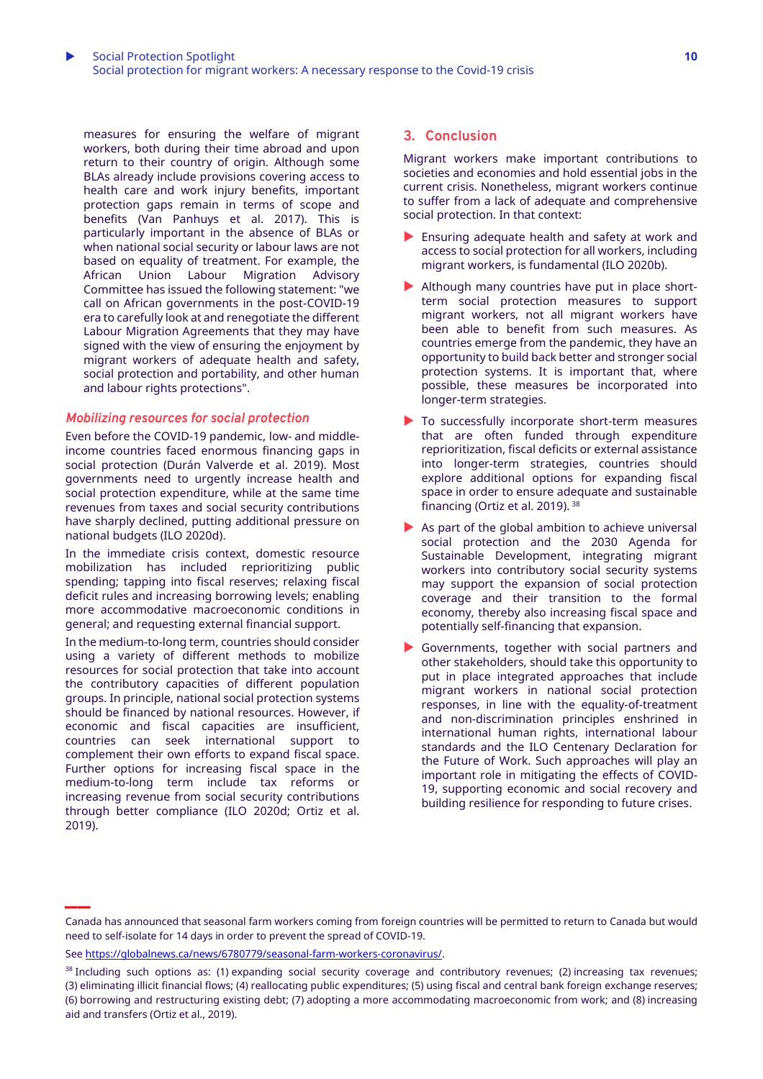measures for ensuring the welfare of migrant workers, both during their time abroad and upon return to their country of origin. Although some BLAs already include provisions covering access to health care and work injury benefits, important protection gaps remain in terms of scope and benefits (Van Panhuys et al. 2017). This is particularly important in the absence of BLAs or when national social security or labour laws are not based on equality of treatment. For example, the African Union Labour Migration Advisory Committee has issued the following statement: "we call on African governments in the post-COVID-19 era to carefully look at and renegotiate the different Labour Migration Agreements that they may have signed with the view of ensuring the enjoyment by migrant workers of adequate health and safety, social protection and portability, and other human

## *Mobilizing resources for social protection*

and labour rights protections".

Even before the COVID-19 pandemic, low- and middleincome countries faced enormous financing gaps in social protection (Durán Valverde et al. 2019). Most governments need to urgently increase health and social protection expenditure, while at the same time revenues from taxes and social security contributions have sharply declined, putting additional pressure on national budgets (ILO 2020d).

In the immediate crisis context, domestic resource mobilization has included reprioritizing public spending; tapping into fiscal reserves; relaxing fiscal deficit rules and increasing borrowing levels; enabling more accommodative macroeconomic conditions in general; and requesting external financial support.

In the medium-to-long term, countries should consider using a variety of different methods to mobilize resources for social protection that take into account the contributory capacities of different population groups. In principle, national social protection systems should be financed by national resources. However, if economic and fiscal capacities are insufficient, countries can seek international support to complement their own efforts to expand fiscal space. Further options for increasing fiscal space in the medium-to-long term include tax reforms or increasing revenue from social security contributions through better compliance (ILO 2020d; Ortiz et al. 2019).

**\_\_**

## **3. Conclusion**

Migrant workers make important contributions to societies and economies and hold essential jobs in the current crisis. Nonetheless, migrant workers continue to suffer from a lack of adequate and comprehensive social protection. In that context:

- **Ensuring adequate health and safety at work and** access to social protection for all workers, including migrant workers, is fundamental (ILO 2020b).
- Although many countries have put in place shortterm social protection measures to support migrant workers, not all migrant workers have been able to benefit from such measures. As countries emerge from the pandemic, they have an opportunity to build back better and stronger social protection systems. It is important that, where possible, these measures be incorporated into longer-term strategies.
- To successfully incorporate short-term measures that are often funded through expenditure reprioritization, fiscal deficits or external assistance into longer-term strategies, countries should explore additional options for expanding fiscal space in order to ensure adequate and sustainable financing (Ortiz et al. 2019). <sup>38</sup>
- $\blacktriangleright$  As part of the global ambition to achieve universal social protection and the 2030 Agenda for Sustainable Development, integrating migrant workers into contributory social security systems may support the expansion of social protection coverage and their transition to the formal economy, thereby also increasing fiscal space and potentially self-financing that expansion.
- Governments, together with social partners and other stakeholders, should take this opportunity to put in place integrated approaches that include migrant workers in national social protection responses, in line with the equality-of-treatment and non-discrimination principles enshrined in international human rights, international labour standards and the ILO Centenary Declaration for the Future of Work. Such approaches will play an important role in mitigating the effects of COVID-19, supporting economic and social recovery and building resilience for responding to future crises.

Canada has announced that seasonal farm workers coming from foreign countries will be permitted to return to Canada but would need to self-isolate for 14 days in order to prevent the spread of COVID-19.

See [https://globalnews.ca/news/6780779/seasonal-farm-workers-coronavirus/.](https://globalnews.ca/news/6780779/seasonal-farm-workers-coronavirus/)

 $38$  Including such options as: (1) expanding social security coverage and contributory revenues; (2) increasing tax revenues; (3) eliminating illicit financial flows; (4) reallocating public expenditures; (5) using fiscal and central bank foreign exchange reserves; (6) borrowing and restructuring existing debt; (7) adopting a more accommodating macroeconomic from work; and (8) increasing aid and transfers (Ortiz et al., 2019).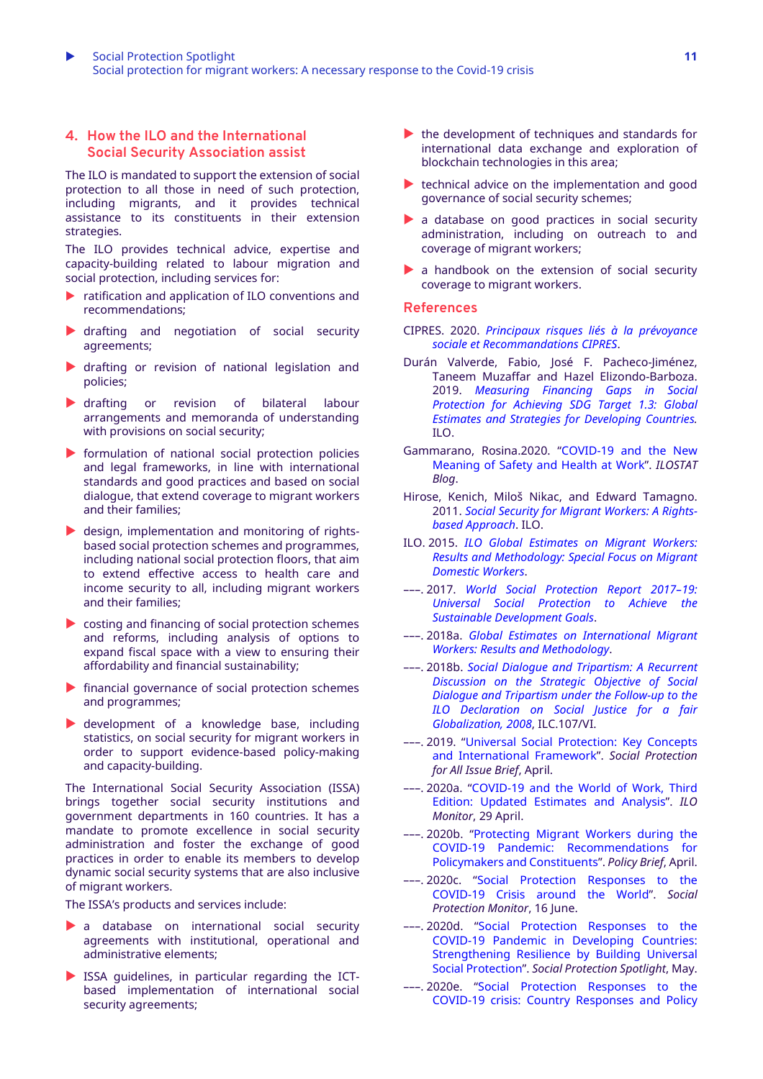# **4. How the ILO and the International Social Security Association assist**

The ILO is mandated to support the extension of social protection to all those in need of such protection, including migrants, and it provides technical assistance to its constituents in their extension strategies.

The ILO provides technical advice, expertise and capacity-building related to labour migration and social protection, including services for:

- ratification and application of ILO conventions and recommendations;
- drafting and negotiation of social security agreements;
- drafting or revision of national legislation and policies;
- drafting or revision of bilateral labour arrangements and memoranda of understanding with provisions on social security;
- $\triangleright$  formulation of national social protection policies and legal frameworks, in line with international standards and good practices and based on social dialogue, that extend coverage to migrant workers and their families;
- design, implementation and monitoring of rightsbased social protection schemes and programmes, including national social protection floors, that aim to extend effective access to health care and income security to all, including migrant workers and their families;
- costing and financing of social protection schemes and reforms, including analysis of options to expand fiscal space with a view to ensuring their affordability and financial sustainability;
- $\blacktriangleright$  financial governance of social protection schemes and programmes;
- development of a knowledge base, including statistics, on social security for migrant workers in order to support evidence-based policy-making and capacity-building.

The International Social Security Association (ISSA) brings together social security institutions and government departments in 160 countries. It has a mandate to promote excellence in social security administration and foster the exchange of good practices in order to enable its members to develop dynamic social security systems that are also inclusive of migrant workers.

The ISSA's products and services include:

- a database on international social security agreements with institutional, operational and administrative elements;
- ISSA guidelines, in particular regarding the ICTbased implementation of international social security agreements;
- $\blacktriangleright$  the development of techniques and standards for international data exchange and exploration of blockchain technologies in this area;
- $\blacktriangleright$  technical advice on the implementation and good governance of social security schemes;
- a database on good practices in social security administration, including on outreach to and coverage of migrant workers;
- a handbook on the extension of social security coverage to migrant workers.

#### **References**

- CIPRES. 2020. *Principaux risques liés à la [prévoyance](http://www.lacipres.org/IMG/pdf/COVID_19_Recommandations_CIPRES.pdf) sociale et [Recommandations](http://www.lacipres.org/IMG/pdf/COVID_19_Recommandations_CIPRES.pdf) CIPRES*.
- Durán Valverde, Fabio, José F. Pacheco-Jiménez, Taneem Muzaffar and Hazel Elizondo-Barboza. 2019. *[Measuring](https://www.ilo.org/wcmsp5/groups/public/---ed_protect/---soc_sec/documents/publication/wcms_729111.pdf) Financing Gaps in Social [Protection](https://www.ilo.org/wcmsp5/groups/public/---ed_protect/---soc_sec/documents/publication/wcms_729111.pdf) for Achieving SDG Target 1.3: Global Estimates and Strategies for [Developing](https://www.ilo.org/wcmsp5/groups/public/---ed_protect/---soc_sec/documents/publication/wcms_729111.pdf) Countries.* ILO.
- Gammarano, Rosina.2020. "[COVID-19](https://ilostat.ilo.org/covid-19-and-the-new-meaning-of-safety-and-health-at-work/) and the New [Meaning](https://ilostat.ilo.org/covid-19-and-the-new-meaning-of-safety-and-health-at-work/) of Safety and Health at Work". *ILOSTAT Blog*.
- Hirose, Kenich, Miloš Nikac, and Edward Tamagno. 2011. *Social Security for Migrant [Workers:](https://www.ilo.org/wcmsp5/groups/public/---europe/---ro-geneva/---sro-budapest/documents/publication/wcms_168796.pdf) A Rightsbased [Approach](https://www.ilo.org/wcmsp5/groups/public/---europe/---ro-geneva/---sro-budapest/documents/publication/wcms_168796.pdf)*. ILO.
- ILO. 2015. *ILO Global [Estimates](https://www.ilo.org/wcmsp5/groups/public/---dgreports/---dcomm/documents/publication/wcms_436343.pdf) on Migrant Workers: Results and [Methodology:](https://www.ilo.org/wcmsp5/groups/public/---dgreports/---dcomm/documents/publication/wcms_436343.pdf) Special Focus on Migrant [Domestic](https://www.ilo.org/wcmsp5/groups/public/---dgreports/---dcomm/documents/publication/wcms_436343.pdf) Workers*.
- –––. 2017. *World Social [Protection](https://www.ilo.org/wcmsp5/groups/public/---dgreports/---dcomm/---publ/documents/publication/wcms_604882.pdf) Report 2017–19: Universal Social [Protection](https://www.ilo.org/wcmsp5/groups/public/---dgreports/---dcomm/---publ/documents/publication/wcms_604882.pdf) to Achieve the Sustainable [Development](https://www.ilo.org/wcmsp5/groups/public/---dgreports/---dcomm/---publ/documents/publication/wcms_604882.pdf) Goals*.
- –––. 2018a. *Global Estimates on [International](https://www.ilo.org/wcmsp5/groups/public/---dgreports/---dcomm/---publ/documents/publication/wcms_652001.pdf) Migrant Workers: Results and [Methodology](https://www.ilo.org/wcmsp5/groups/public/---dgreports/---dcomm/---publ/documents/publication/wcms_652001.pdf)*.
- –––. 2018b. *Social Dialogue and [Tripartism:](https://www.ilo.org/wcmsp5/groups/public/---ed_norm/---relconf/documents/meetingdocument/wcms_624015.pdf) A Recurrent [Discussion](https://www.ilo.org/wcmsp5/groups/public/---ed_norm/---relconf/documents/meetingdocument/wcms_624015.pdf) on the Strategic Objective of Social Dialogue and [Tripartism](https://www.ilo.org/wcmsp5/groups/public/---ed_norm/---relconf/documents/meetingdocument/wcms_624015.pdf) under the Follow-up to the ILO [Declaration](https://www.ilo.org/wcmsp5/groups/public/---ed_norm/---relconf/documents/meetingdocument/wcms_624015.pdf) on Social Justice for a fair [Globalization,](https://www.ilo.org/wcmsp5/groups/public/---ed_norm/---relconf/documents/meetingdocument/wcms_624015.pdf) 2008*, ILC.107/VI.
- –––. 2019. "Universal Social [Protection:](https://www.social-protection.org/gimi/RessourcePDF.action?id=55517) Key Concepts and [International](https://www.social-protection.org/gimi/RessourcePDF.action?id=55517) Framework". *Social Protection for All Issue Brief*, April.
- –––. 2020a. "[COVID-19](https://www.ilo.org/wcmsp5/groups/public/---dgreports/---dcomm/documents/briefingnote/wcms_743146.pdf) and the World of Work, Third Edition: Updated [Estimates](https://www.ilo.org/wcmsp5/groups/public/---dgreports/---dcomm/documents/briefingnote/wcms_743146.pdf) and Analysis". *ILO Monitor*, 29 April.
- –––. 2020b. "[Protecting](https://www.ilo.org/wcmsp5/groups/public/---ed_protect/---protrav/---migrant/documents/publication/wcms_743268.pdf) Migrant Workers during the COVID-19 Pandemic: [Recommendations](https://www.ilo.org/wcmsp5/groups/public/---ed_protect/---protrav/---migrant/documents/publication/wcms_743268.pdf) for [Policymakers](https://www.ilo.org/wcmsp5/groups/public/---ed_protect/---protrav/---migrant/documents/publication/wcms_743268.pdf) and Constituents". *Policy Brief*, April.
- –––. 2020c. "Social Protection [Responses](https://www.social-protection.org/gimi/RessourcePDF.action?id=56047) to the [COVID-19](https://www.social-protection.org/gimi/RessourcePDF.action?id=56047) Crisis around the World". *Social Protection Monitor*, 16 June.
- –––. 2020d. "Social Protection [Responses](https://www.social-protection.org/gimi/RessourcePDF.action?id=56542) to the COVID-19 Pandemic in [Developing](https://www.social-protection.org/gimi/RessourcePDF.action?id=56542) Countries: [Strengthening](https://www.social-protection.org/gimi/RessourcePDF.action?id=56542) Resilience by Building Universal Social [Protection](https://www.social-protection.org/gimi/RessourcePDF.action?id=56542)". *Social Protection Spotlight*, May.
- –––. 2020e. "Social Protection [Responses](https://www.social-protection.org/gimi/RessourcePDF.action?id=56044) to the COVID-19 crisis: Country [Responses](https://www.social-protection.org/gimi/RessourcePDF.action?id=56044) and Policy